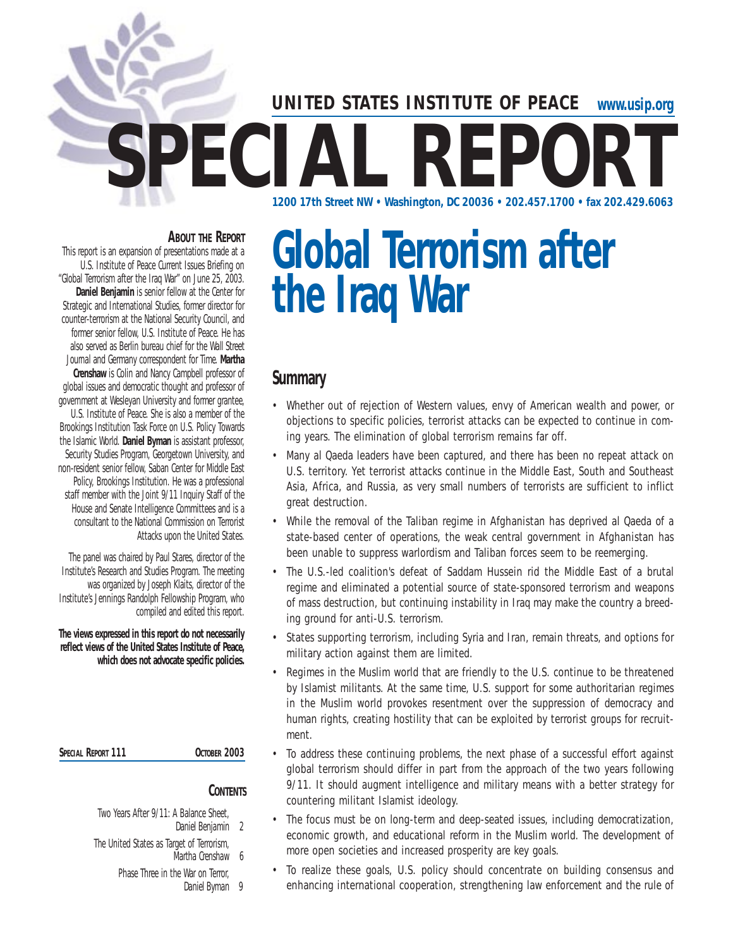## **www.usip.org SPECIAL REPORT 1200 17th Street NW • Washington, DC 20036 • 202.457.1700 • fax 202.429.6063 UNITED STATES INSTITUTE OF PEACE**

#### **ABOUT THE REPORT**

This report is an expansion of presentations made at a U.S. Institute of Peace Current Issues Briefing on "Global Terrorism after the Iraq War" on June 25, 2003. **Daniel Benjamin** is senior fellow at the Center for Strategic and International Studies, former director for counter-terrorism at the National Security Council, and former senior fellow, U.S. Institute of Peace. He has also served as Berlin bureau chief for the *Wall Street Journal* and Germany correspondent for *Time.* **Martha Crenshaw** is Colin and Nancy Campbell professor of global issues and democratic thought and professor of government at Wesleyan University and former grantee, U.S. Institute of Peace. She is also a member of the Brookings Institution Task Force on U.S. Policy Towards the Islamic World. **Daniel Byman** is assistant professor, Security Studies Program, Georgetown University, and non-resident senior fellow, Saban Center for Middle East Policy, Brookings Institution. He was a professional staff member with the Joint 9/11 Inquiry Staff of the House and Senate Intelligence Committees and is a consultant to the National Commission on Terrorist Attacks upon the United States.

The panel was chaired by Paul Stares, director of the Institute's Research and Studies Program. The meeting was organized by Joseph Klaits, director of the Institute's Jennings Randolph Fellowship Program, who compiled and edited this report.

**The views expressed in this report do not necessarily reflect views of the United States Institute of Peace, which does not advocate specific policies.**

**SPECIAL REPORT 111 OCTOBER 2003**

#### **CONTENTS**

- Two Years After 9/11: A Balance Sheet, *Daniel Benjamin* 2
- The United States as Target of Terrorism, *Martha Crenshaw* 6
	- Phase Three in the War on Terror, *Daniel Byman* 9

# **Global Terrorism after the Iraq War**

### **Summary**

- Whether out of rejection of Western values, envy of American wealth and power, or objections to specific policies, terrorist attacks can be expected to continue in coming years. The elimination of global terrorism remains far off.
- Many al Qaeda leaders have been captured, and there has been no repeat attack on U.S. territory. Yet terrorist attacks continue in the Middle East, South and Southeast Asia, Africa, and Russia, as very small numbers of terrorists are sufficient to inflict great destruction.
- While the removal of the Taliban regime in Afghanistan has deprived al Qaeda of a state-based center of operations, the weak central government in Afghanistan has been unable to suppress warlordism and Taliban forces seem to be reemerging.
- The U.S.-led coalition's defeat of Saddam Hussein rid the Middle East of a brutal regime and eliminated a potential source of state-sponsored terrorism and weapons of mass destruction, but continuing instability in Iraq may make the country a breeding ground for anti-U.S. terrorism.
- States supporting terrorism, including Syria and Iran, remain threats, and options for military action against them are limited.
- Regimes in the Muslim world that are friendly to the U.S. continue to be threatened by Islamist militants. At the same time, U.S. support for some authoritarian regimes in the Muslim world provokes resentment over the suppression of democracy and human rights, creating hostility that can be exploited by terrorist groups for recruitment.
- To address these continuing problems, the next phase of a successful effort against global terrorism should differ in part from the approach of the two years following 9/11. It should augment intelligence and military means with a better strategy for countering militant Islamist ideology.
- The focus must be on long-term and deep-seated issues, including democratization, economic growth, and educational reform in the Muslim world. The development of more open societies and increased prosperity are key goals.
- To realize these goals, U.S. policy should concentrate on building consensus and enhancing international cooperation, strengthening law enforcement and the rule of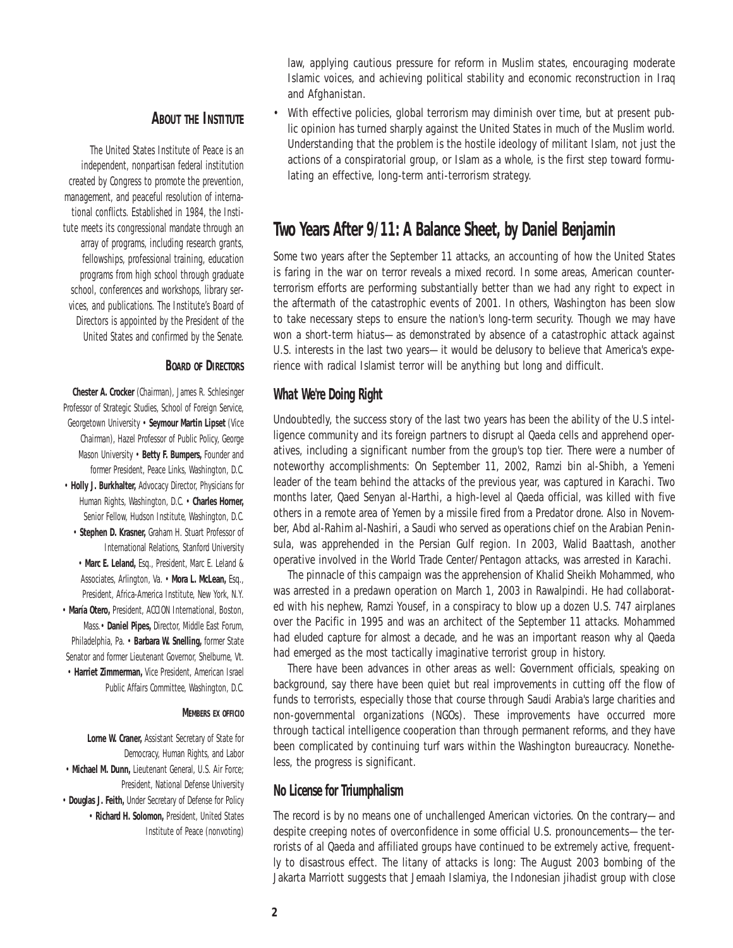law, applying cautious pressure for reform in Muslim states, encouraging moderate Islamic voices, and achieving political stability and economic reconstruction in Iraq and Afghanistan.

#### **ABOUT THE INSTITUTE**

The United States Institute of Peace is an independent, nonpartisan federal institution created by Congress to promote the prevention, management, and peaceful resolution of international conflicts. Established in 1984, the Institute meets its congressional mandate through an array of programs, including research grants, fellowships, professional training, education programs from high school through graduate school, conferences and workshops, library services, and publications. The Institute's Board of Directors is appointed by the President of the United States and confirmed by the Senate.

#### **BOARD OF DIRECTORS**

**Chester A. Crocker** (Chairman), James R. Schlesinger Professor of Strategic Studies, School of Foreign Service, Georgetown University • **Seymour Martin Lipset** (Vice Chairman), Hazel Professor of Public Policy, George Mason University • **Betty F. Bumpers,** Founder and former President, Peace Links, Washington, D.C. • **Holly J. Burkhalter,** Advocacy Director, Physicians for Human Rights, Washington, D.C. • **Charles Horner,** Senior Fellow, Hudson Institute, Washington, D.C. • **Stephen D. Krasner,** Graham H. Stuart Professor of International Relations, Stanford University • **Marc E. Leland,** Esq., President, Marc E. Leland & Associates, Arlington, Va. • **Mora L. McLean,** Esq., President, Africa-America Institute, New York, N.Y. • **María Otero,** President, ACCION International, Boston, Mass.• **Daniel Pipes,** Director, Middle East Forum, Philadelphia, Pa. • **Barbara W. Snelling,** former State Senator and former Lieutenant Governor, Shelburne, Vt. • **Harriet Zimmerman,** Vice President, American Israel Public Affairs Committee, Washington, D.C.

#### *MEMBERS EX OFFICIO*

**Lorne W. Craner,** Assistant Secretary of State for Democracy, Human Rights, and Labor • **Michael M. Dunn,** Lieutenant General, U.S. Air Force; President, National Defense University • **Douglas J. Feith,** Under Secretary of Defense for Policy • **Richard H. Solomon,** President, United States Institute of Peace (nonvoting)

• With effective policies, global terrorism may diminish over time, but at present public opinion has turned sharply against the United States in much of the Muslim world. Understanding that the problem is the hostile ideology of militant Islam, not just the actions of a conspiratorial group, or Islam as a whole, is the first step toward formulating an effective, long-term anti-terrorism strategy.

### **Two Years After 9/11: A Balance Sheet,** *by Daniel Benjamin*

Some two years after the September 11 attacks, an accounting of how the United States is faring in the war on terror reveals a mixed record. In some areas, American counterterrorism efforts are performing substantially better than we had any right to expect in the aftermath of the catastrophic events of 2001. In others, Washington has been slow to take necessary steps to ensure the nation's long-term security. Though we may have won a short-term hiatus—as demonstrated by absence of a catastrophic attack against U.S. interests in the last two years—it would be delusory to believe that America's experience with radical Islamist terror will be anything but long and difficult.

#### *What We're Doing Right*

Undoubtedly, the success story of the last two years has been the ability of the U.S intelligence community and its foreign partners to disrupt al Qaeda cells and apprehend operatives, including a significant number from the group's top tier. There were a number of noteworthy accomplishments: On September 11, 2002, Ramzi bin al-Shibh, a Yemeni leader of the team behind the attacks of the previous year, was captured in Karachi. Two months later, Qaed Senyan al-Harthi, a high-level al Qaeda official, was killed with five others in a remote area of Yemen by a missile fired from a Predator drone. Also in November, Abd al-Rahim al-Nashiri, a Saudi who served as operations chief on the Arabian Peninsula, was apprehended in the Persian Gulf region. In 2003, Walid Baattash, another operative involved in the World Trade Center/Pentagon attacks, was arrested in Karachi.

The pinnacle of this campaign was the apprehension of Khalid Sheikh Mohammed, who was arrested in a predawn operation on March 1, 2003 in Rawalpindi. He had collaborated with his nephew, Ramzi Yousef, in a conspiracy to blow up a dozen U.S. 747 airplanes over the Pacific in 1995 and was an architect of the September 11 attacks. Mohammed had eluded capture for almost a decade, and he was an important reason why al Qaeda had emerged as the most tactically imaginative terrorist group in history.

There have been advances in other areas as well: Government officials, speaking on background, say there have been quiet but real improvements in cutting off the flow of funds to terrorists, especially those that course through Saudi Arabia's large charities and non-governmental organizations (NGOs). These improvements have occurred more through tactical intelligence cooperation than through permanent reforms, and they have been complicated by continuing turf wars within the Washington bureaucracy. Nonetheless, the progress is significant.

#### *No License for Triumphalism*

The record is by no means one of unchallenged American victories. On the contrary—and despite creeping notes of overconfidence in some official U.S. pronouncements—the terrorists of al Qaeda and affiliated groups have continued to be extremely active, frequently to disastrous effect. The litany of attacks is long: The August 2003 bombing of the Jakarta Marriott suggests that Jemaah Islamiya, the Indonesian jihadist group with close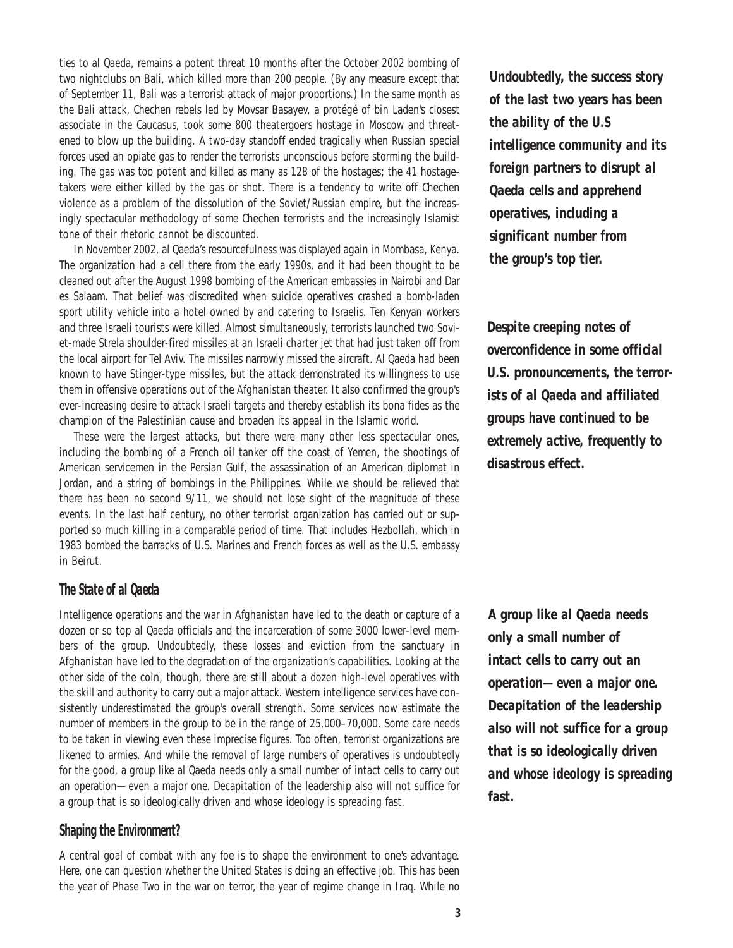ties to al Qaeda, remains a potent threat 10 months after the October 2002 bombing of two nightclubs on Bali, which killed more than 200 people. (By any measure except that of September 11, Bali was a terrorist attack of major proportions.) In the same month as the Bali attack, Chechen rebels led by Movsar Basayev, a protégé of bin Laden's closest associate in the Caucasus, took some 800 theatergoers hostage in Moscow and threatened to blow up the building. A two-day standoff ended tragically when Russian special forces used an opiate gas to render the terrorists unconscious before storming the building. The gas was too potent and killed as many as 128 of the hostages; the 41 hostagetakers were either killed by the gas or shot. There is a tendency to write off Chechen violence as a problem of the dissolution of the Soviet/Russian empire, but the increasingly spectacular methodology of some Chechen terrorists and the increasingly Islamist tone of their rhetoric cannot be discounted.

In November 2002, al Qaeda's resourcefulness was displayed again in Mombasa, Kenya. The organization had a cell there from the early 1990s, and it had been thought to be cleaned out after the August 1998 bombing of the American embassies in Nairobi and Dar es Salaam. That belief was discredited when suicide operatives crashed a bomb-laden sport utility vehicle into a hotel owned by and catering to Israelis. Ten Kenyan workers and three Israeli tourists were killed. Almost simultaneously, terrorists launched two Soviet-made Strela shoulder-fired missiles at an Israeli charter jet that had just taken off from the local airport for Tel Aviv. The missiles narrowly missed the aircraft. Al Qaeda had been known to have Stinger-type missiles, but the attack demonstrated its willingness to use them in offensive operations out of the Afghanistan theater. It also confirmed the group's ever-increasing desire to attack Israeli targets and thereby establish its bona fides as the champion of the Palestinian cause and broaden its appeal in the Islamic world.

These were the largest attacks, but there were many other less spectacular ones, including the bombing of a French oil tanker off the coast of Yemen, the shootings of American servicemen in the Persian Gulf, the assassination of an American diplomat in Jordan, and a string of bombings in the Philippines. While we should be relieved that there has been no second 9/11, we should not lose sight of the magnitude of these events. In the last half century, no other terrorist organization has carried out or supported so much killing in a comparable period of time. That includes Hezbollah, which in 1983 bombed the barracks of U.S. Marines and French forces as well as the U.S. embassy in Beirut.

#### *The State of al Qaeda*

Intelligence operations and the war in Afghanistan have led to the death or capture of a dozen or so top al Qaeda officials and the incarceration of some 3000 lower-level members of the group. Undoubtedly, these losses and eviction from the sanctuary in Afghanistan have led to the degradation of the organization's capabilities. Looking at the other side of the coin, though, there are still about a dozen high-level operatives with the skill and authority to carry out a major attack. Western intelligence services have consistently underestimated the group's overall strength. Some services now estimate the number of members in the group to be in the range of 25,000–70,000. Some care needs to be taken in viewing even these imprecise figures. Too often, terrorist organizations are likened to armies. And while the removal of large numbers of operatives is undoubtedly for the good, a group like al Qaeda needs only a small number of intact cells to carry out an operation—even a major one. Decapitation of the leadership also will not suffice for a group that is so ideologically driven and whose ideology is spreading fast.

#### *Shaping the Environment?*

A central goal of combat with any foe is to shape the environment to one's advantage. Here, one can question whether the United States is doing an effective job. This has been the year of Phase Two in the war on terror, the year of regime change in Iraq. While no

*Undoubtedly, the success story of the last two years has been the ability of the U.S intelligence community and its foreign partners to disrupt al Qaeda cells and apprehend operatives, including a significant number from the group's top tier.* 

*Despite creeping notes of overconfidence in some official U.S. pronouncements, the terrorists of al Qaeda and affiliated groups have continued to be extremely active, frequently to disastrous effect.*

*A group like al Qaeda needs only a small number of intact cells to carry out an operation—even a major one. Decapitation of the leadership also will not suffice for a group that is so ideologically driven and whose ideology is spreading fast.*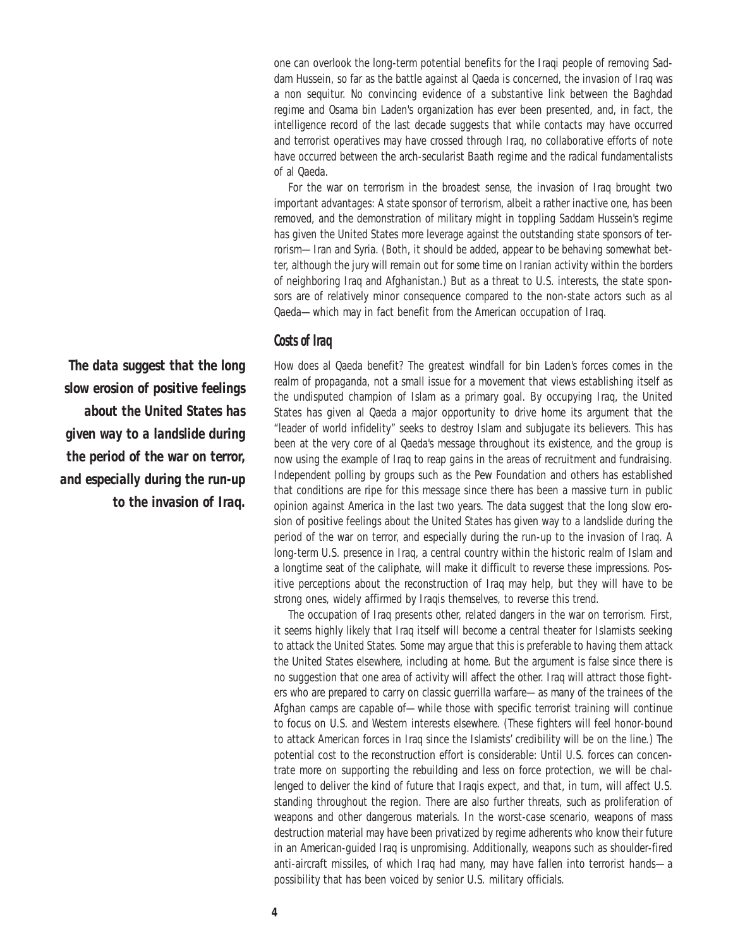one can overlook the long-term potential benefits for the Iraqi people of removing Saddam Hussein, so far as the battle against al Qaeda is concerned, the invasion of Iraq was a non sequitur. No convincing evidence of a substantive link between the Baghdad regime and Osama bin Laden's organization has ever been presented, and, in fact, the intelligence record of the last decade suggests that while contacts may have occurred and terrorist operatives may have crossed through Iraq, no collaborative efforts of note have occurred between the arch-secularist Baath regime and the radical fundamentalists of al Qaeda.

For the war on terrorism in the broadest sense, the invasion of Iraq brought two important advantages: A state sponsor of terrorism, albeit a rather inactive one, has been removed, and the demonstration of military might in toppling Saddam Hussein's regime has given the United States more leverage against the outstanding state sponsors of terrorism—Iran and Syria. (Both, it should be added, appear to be behaving somewhat better, although the jury will remain out for some time on Iranian activity within the borders of neighboring Iraq and Afghanistan.) But as a threat to U.S. interests, the state sponsors are of relatively minor consequence compared to the non-state actors such as al Qaeda—which may in fact benefit from the American occupation of Iraq.

#### *Costs of Iraq*

How does al Qaeda benefit? The greatest windfall for bin Laden's forces comes in the realm of propaganda, not a small issue for a movement that views establishing itself as the undisputed champion of Islam as a primary goal. By occupying Iraq, the United States has given al Qaeda a major opportunity to drive home its argument that the "leader of world infidelity" seeks to destroy Islam and subjugate its believers. This has been at the very core of al Qaeda's message throughout its existence, and the group is now using the example of Iraq to reap gains in the areas of recruitment and fundraising. Independent polling by groups such as the Pew Foundation and others has established that conditions are ripe for this message since there has been a massive turn in public opinion against America in the last two years. The data suggest that the long slow erosion of positive feelings about the United States has given way to a landslide during the period of the war on terror, and especially during the run-up to the invasion of Iraq. A long-term U.S. presence in Iraq, a central country within the historic realm of Islam and a longtime seat of the caliphate, will make it difficult to reverse these impressions. Positive perceptions about the reconstruction of Iraq may help, but they will have to be strong ones, widely affirmed by Iraqis themselves, to reverse this trend.

The occupation of Iraq presents other, related dangers in the war on terrorism. First, it seems highly likely that Iraq itself will become a central theater for Islamists seeking to attack the United States. Some may argue that this is preferable to having them attack the United States elsewhere, including at home. But the argument is false since there is no suggestion that one area of activity will affect the other. Iraq will attract those fighters who are prepared to carry on classic guerrilla warfare—as many of the trainees of the Afghan camps are capable of—while those with specific terrorist training will continue to focus on U.S. and Western interests elsewhere. (These fighters will feel honor-bound to attack American forces in Iraq since the Islamists' credibility will be on the line.) The potential cost to the reconstruction effort is considerable: Until U.S. forces can concentrate more on supporting the rebuilding and less on force protection, we will be challenged to deliver the kind of future that Iraqis expect, and that, in turn, will affect U.S. standing throughout the region. There are also further threats, such as proliferation of weapons and other dangerous materials. In the worst-case scenario, weapons of mass destruction material may have been privatized by regime adherents who know their future in an American-guided Iraq is unpromising. Additionally, weapons such as shoulder-fired anti-aircraft missiles, of which Iraq had many, may have fallen into terrorist hands—a possibility that has been voiced by senior U.S. military officials.

*The data suggest that the long slow erosion of positive feelings about the United States has given way to a landslide during the period of the war on terror, and especially during the run-up to the invasion of Iraq.*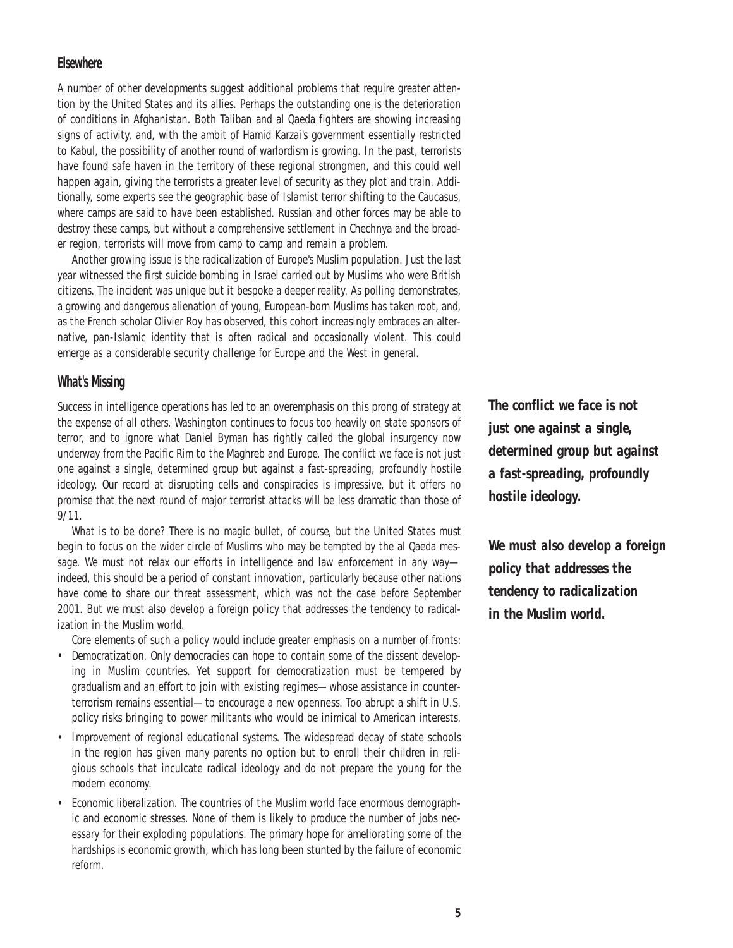#### *Elsewhere*

A number of other developments suggest additional problems that require greater attention by the United States and its allies. Perhaps the outstanding one is the deterioration of conditions in Afghanistan. Both Taliban and al Qaeda fighters are showing increasing signs of activity, and, with the ambit of Hamid Karzai's government essentially restricted to Kabul, the possibility of another round of warlordism is growing. In the past, terrorists have found safe haven in the territory of these regional strongmen, and this could well happen again, giving the terrorists a greater level of security as they plot and train. Additionally, some experts see the geographic base of Islamist terror shifting to the Caucasus, where camps are said to have been established. Russian and other forces may be able to destroy these camps, but without a comprehensive settlement in Chechnya and the broader region, terrorists will move from camp to camp and remain a problem.

Another growing issue is the radicalization of Europe's Muslim population. Just the last year witnessed the first suicide bombing in Israel carried out by Muslims who were British citizens. The incident was unique but it bespoke a deeper reality. As polling demonstrates, a growing and dangerous alienation of young, European-born Muslims has taken root, and, as the French scholar Olivier Roy has observed, this cohort increasingly embraces an alternative, pan-Islamic identity that is often radical and occasionally violent. This could emerge as a considerable security challenge for Europe and the West in general.

#### *What's Missing*

Success in intelligence operations has led to an overemphasis on this prong of strategy at the expense of all others. Washington continues to focus too heavily on state sponsors of terror, and to ignore what Daniel Byman has rightly called the global insurgency now underway from the Pacific Rim to the Maghreb and Europe. The conflict we face is not just one against a single, determined group but against a fast-spreading, profoundly hostile ideology. Our record at disrupting cells and conspiracies is impressive, but it offers no promise that the next round of major terrorist attacks will be less dramatic than those of 9/11.

What is to be done? There is no magic bullet, of course, but the United States must begin to focus on the wider circle of Muslims who may be tempted by the al Qaeda message. We must not relax our efforts in intelligence and law enforcement in any way indeed, this should be a period of constant innovation, particularly because other nations have come to share our threat assessment, which was not the case before September 2001. But we must also develop a foreign policy that addresses the tendency to radicalization in the Muslim world.

Core elements of such a policy would include greater emphasis on a number of fronts:

- *Democratization*. Only democracies can hope to contain some of the dissent developing in Muslim countries. Yet support for democratization must be tempered by gradualism and an effort to join with existing regimes—whose assistance in counterterrorism remains essential—to encourage a new openness. Too abrupt a shift in U.S. policy risks bringing to power militants who would be inimical to American interests.
- *Improvement of regional educational systems.* The widespread decay of state schools in the region has given many parents no option but to enroll their children in religious schools that inculcate radical ideology and do not prepare the young for the modern economy.
- *Economic liberalization.* The countries of the Muslim world face enormous demographic and economic stresses. None of them is likely to produce the number of jobs necessary for their exploding populations. The primary hope for ameliorating some of the hardships is economic growth, which has long been stunted by the failure of economic reform.

*The conflict we face is not just one against a single, determined group but against a fast-spreading, profoundly hostile ideology.* 

*We must also develop a foreign policy that addresses the tendency to radicalization in the Muslim world.*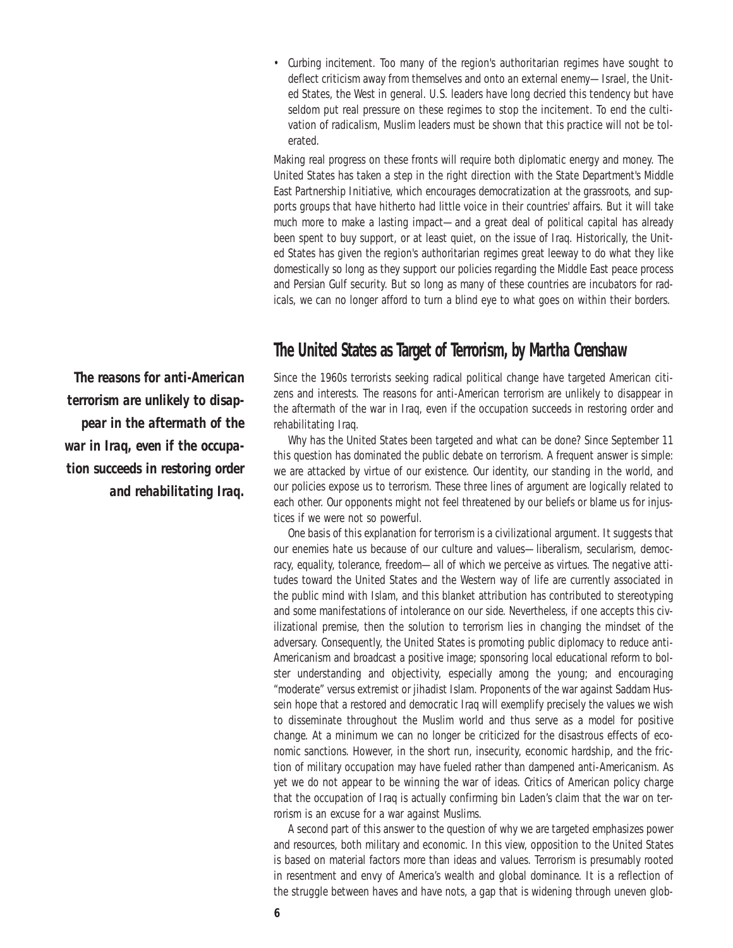• *Curbing incitement.* Too many of the region's authoritarian regimes have sought to deflect criticism away from themselves and onto an external enemy—Israel, the United States, the West in general. U.S. leaders have long decried this tendency but have seldom put real pressure on these regimes to stop the incitement. To end the cultivation of radicalism, Muslim leaders must be shown that this practice will not be tolerated.

Making real progress on these fronts will require both diplomatic energy and money. The United States has taken a step in the right direction with the State Department's Middle East Partnership Initiative, which encourages democratization at the grassroots, and supports groups that have hitherto had little voice in their countries' affairs. But it will take much more to make a lasting impact—and a great deal of political capital has already been spent to buy support, or at least quiet, on the issue of Iraq. Historically, the United States has given the region's authoritarian regimes great leeway to do what they like domestically so long as they support our policies regarding the Middle East peace process and Persian Gulf security. But so long as many of these countries are incubators for radicals, we can no longer afford to turn a blind eye to what goes on within their borders.

### **The United States as Target of Terrorism,** *by Martha Crenshaw*

Since the 1960s terrorists seeking radical political change have targeted American citizens and interests. The reasons for anti-American terrorism are unlikely to disappear in the aftermath of the war in Iraq, even if the occupation succeeds in restoring order and rehabilitating Iraq.

Why has the United States been targeted and what can be done? Since September 11 this question has dominated the public debate on terrorism. A frequent answer is simple: we are attacked by virtue of our existence. Our identity, our standing in the world, and our policies expose us to terrorism. These three lines of argument are logically related to each other. Our opponents might not feel threatened by our beliefs or blame us for injustices if we were not so powerful.

One basis of this explanation for terrorism is a civilizational argument. It suggests that our enemies hate us because of our culture and values—liberalism, secularism, democracy, equality, tolerance, freedom—all of which we perceive as virtues. The negative attitudes toward the United States and the Western way of life are currently associated in the public mind with Islam, and this blanket attribution has contributed to stereotyping and some manifestations of intolerance on our side. Nevertheless, if one accepts this civilizational premise, then the solution to terrorism lies in changing the mindset of the adversary. Consequently, the United States is promoting public diplomacy to reduce anti-Americanism and broadcast a positive image; sponsoring local educational reform to bolster understanding and objectivity, especially among the young; and encouraging "moderate" versus extremist or jihadist Islam. Proponents of the war against Saddam Hussein hope that a restored and democratic Iraq will exemplify precisely the values we wish to disseminate throughout the Muslim world and thus serve as a model for positive change. At a minimum we can no longer be criticized for the disastrous effects of economic sanctions. However, in the short run, insecurity, economic hardship, and the friction of military occupation may have fueled rather than dampened anti-Americanism. As yet we do not appear to be winning the war of ideas. Critics of American policy charge that the occupation of Iraq is actually confirming bin Laden's claim that the war on terrorism is an excuse for a war against Muslims.

A second part of this answer to the question of why we are targeted emphasizes power and resources, both military and economic. In this view, opposition to the United States is based on material factors more than ideas and values. Terrorism is presumably rooted in resentment and envy of America's wealth and global dominance. It is a reflection of the struggle between haves and have nots, a gap that is widening through uneven glob-

*The reasons for anti-American terrorism are unlikely to disappear in the aftermath of the war in Iraq, even if the occupation succeeds in restoring order and rehabilitating Iraq.*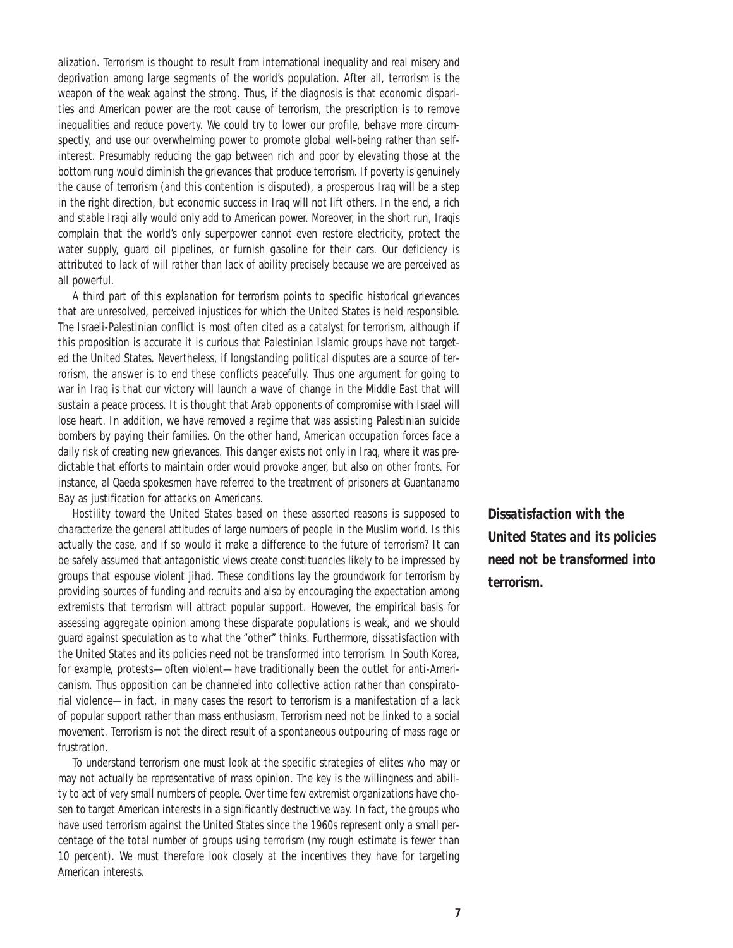alization. Terrorism is thought to result from international inequality and real misery and deprivation among large segments of the world's population. After all, terrorism is the weapon of the weak against the strong. Thus, if the diagnosis is that economic disparities and American power are the root cause of terrorism, the prescription is to remove inequalities and reduce poverty. We could try to lower our profile, behave more circumspectly, and use our overwhelming power to promote global well-being rather than selfinterest. Presumably reducing the gap between rich and poor by elevating those at the bottom rung would diminish the grievances that produce terrorism. If poverty is genuinely the cause of terrorism (and this contention is disputed), a prosperous Iraq will be a step in the right direction, but economic success in Iraq will not lift others. In the end, a rich and stable Iraqi ally would only add to American power. Moreover, in the short run, Iraqis complain that the world's only superpower cannot even restore electricity, protect the water supply, guard oil pipelines, or furnish gasoline for their cars. Our deficiency is attributed to lack of will rather than lack of ability precisely because we are perceived as all powerful.

A third part of this explanation for terrorism points to specific historical grievances that are unresolved, perceived injustices for which the United States is held responsible. The Israeli-Palestinian conflict is most often cited as a catalyst for terrorism, although if this proposition is accurate it is curious that Palestinian Islamic groups have not targeted the United States. Nevertheless, if longstanding political disputes are a source of terrorism, the answer is to end these conflicts peacefully. Thus one argument for going to war in Iraq is that our victory will launch a wave of change in the Middle East that will sustain a peace process. It is thought that Arab opponents of compromise with Israel will lose heart. In addition, we have removed a regime that was assisting Palestinian suicide bombers by paying their families. On the other hand, American occupation forces face a daily risk of creating new grievances. This danger exists not only in Iraq, where it was predictable that efforts to maintain order would provoke anger, but also on other fronts. For instance, al Qaeda spokesmen have referred to the treatment of prisoners at Guantanamo Bay as justification for attacks on Americans.

Hostility toward the United States based on these assorted reasons is supposed to characterize the general attitudes of large numbers of people in the Muslim world. Is this actually the case, and if so would it make a difference to the future of terrorism? It can be safely assumed that antagonistic views create constituencies likely to be impressed by groups that espouse violent jihad. These conditions lay the groundwork for terrorism by providing sources of funding and recruits and also by encouraging the expectation among extremists that terrorism will attract popular support. However, the empirical basis for assessing aggregate opinion among these disparate populations is weak, and we should guard against speculation as to what the "other" thinks. Furthermore, dissatisfaction with the United States and its policies need not be transformed into terrorism. In South Korea, for example, protests—often violent—have traditionally been the outlet for anti-Americanism. Thus opposition can be channeled into collective action rather than conspiratorial violence—in fact, in many cases the resort to terrorism is a manifestation of a lack of popular support rather than mass enthusiasm. Terrorism need not be linked to a social movement. Terrorism is not the direct result of a spontaneous outpouring of mass rage or frustration.

To understand terrorism one must look at the specific strategies of elites who may or may not actually be representative of mass opinion. The key is the willingness and ability to act of very small numbers of people. Over time few extremist organizations have chosen to target American interests in a significantly destructive way. In fact, the groups who have used terrorism against the United States since the 1960s represent only a small percentage of the total number of groups using terrorism (my rough estimate is fewer than 10 percent). We must therefore look closely at the incentives they have for targeting American interests.

*Dissatisfaction with the United States and its policies need not be transformed into terrorism.*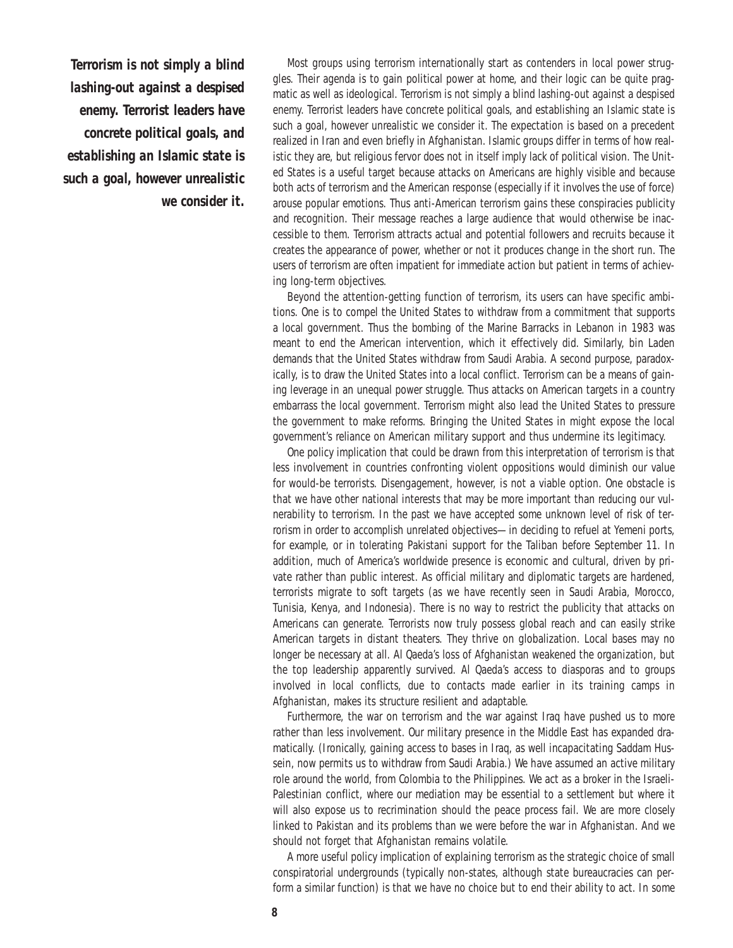*Terrorism is not simply a blind lashing-out against a despised enemy. Terrorist leaders have concrete political goals, and establishing an Islamic state is such a goal, however unrealistic we consider it.* 

Most groups using terrorism internationally start as contenders in local power struggles. Their agenda is to gain political power at home, and their logic can be quite pragmatic as well as ideological. Terrorism is not simply a blind lashing-out against a despised enemy. Terrorist leaders have concrete political goals, and establishing an Islamic state is such a goal, however unrealistic we consider it. The expectation is based on a precedent realized in Iran and even briefly in Afghanistan. Islamic groups differ in terms of how realistic they are, but religious fervor does not in itself imply lack of political vision. The United States is a useful target because attacks on Americans are highly visible and because both acts of terrorism and the American response (especially if it involves the use of force) arouse popular emotions. Thus anti-American terrorism gains these conspiracies publicity and recognition. Their message reaches a large audience that would otherwise be inaccessible to them. Terrorism attracts actual and potential followers and recruits because it creates the appearance of power, whether or not it produces change in the short run. The users of terrorism are often impatient for immediate action but patient in terms of achieving long-term objectives.

Beyond the attention-getting function of terrorism, its users can have specific ambitions. One is to compel the United States to withdraw from a commitment that supports a local government. Thus the bombing of the Marine Barracks in Lebanon in 1983 was meant to end the American intervention, which it effectively did. Similarly, bin Laden demands that the United States withdraw from Saudi Arabia. A second purpose, paradoxically, is to draw the United States into a local conflict. Terrorism can be a means of gaining leverage in an unequal power struggle. Thus attacks on American targets in a country embarrass the local government. Terrorism might also lead the United States to pressure the government to make reforms. Bringing the United States in might expose the local government's reliance on American military support and thus undermine its legitimacy.

One policy implication that could be drawn from this interpretation of terrorism is that less involvement in countries confronting violent oppositions would diminish our value for would-be terrorists. Disengagement, however, is not a viable option. One obstacle is that we have other national interests that may be more important than reducing our vulnerability to terrorism. In the past we have accepted some unknown level of risk of terrorism in order to accomplish unrelated objectives—in deciding to refuel at Yemeni ports, for example, or in tolerating Pakistani support for the Taliban before September 11. In addition, much of America's worldwide presence is economic and cultural, driven by private rather than public interest. As official military and diplomatic targets are hardened, terrorists migrate to soft targets (as we have recently seen in Saudi Arabia, Morocco, Tunisia, Kenya, and Indonesia). There is no way to restrict the publicity that attacks on Americans can generate. Terrorists now truly possess global reach and can easily strike American targets in distant theaters. They thrive on globalization. Local bases may no longer be necessary at all. Al Qaeda's loss of Afghanistan weakened the organization, but the top leadership apparently survived. Al Qaeda's access to diasporas and to groups involved in local conflicts, due to contacts made earlier in its training camps in Afghanistan, makes its structure resilient and adaptable.

Furthermore, the war on terrorism and the war against Iraq have pushed us to more rather than less involvement. Our military presence in the Middle East has expanded dramatically. (Ironically, gaining access to bases in Iraq, as well incapacitating Saddam Hussein, now permits us to withdraw from Saudi Arabia.) We have assumed an active military role around the world, from Colombia to the Philippines. We act as a broker in the Israeli-Palestinian conflict, where our mediation may be essential to a settlement but where it will also expose us to recrimination should the peace process fail. We are more closely linked to Pakistan and its problems than we were before the war in Afghanistan. And we should not forget that Afghanistan remains volatile.

A more useful policy implication of explaining terrorism as the strategic choice of small conspiratorial undergrounds (typically non-states, although state bureaucracies can perform a similar function) is that we have no choice but to end their ability to act. In some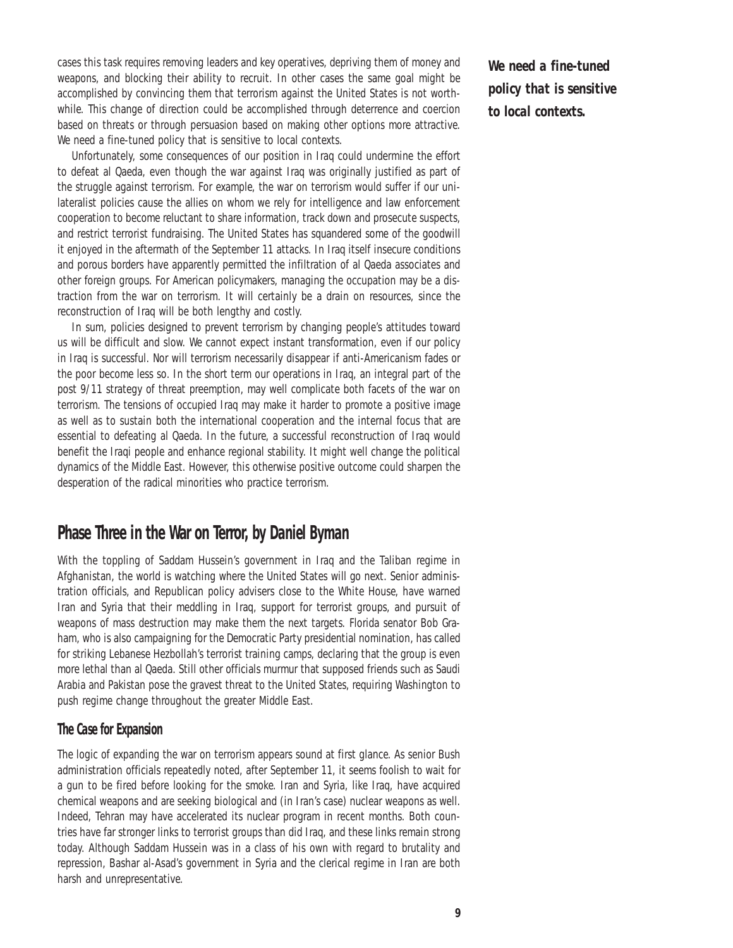cases this task requires removing leaders and key operatives, depriving them of money and weapons, and blocking their ability to recruit. In other cases the same goal might be accomplished by convincing them that terrorism against the United States is not worthwhile. This change of direction could be accomplished through deterrence and coercion based on threats or through persuasion based on making other options more attractive. We need a fine-tuned policy that is sensitive to local contexts.

Unfortunately, some consequences of our position in Iraq could undermine the effort to defeat al Qaeda, even though the war against Iraq was originally justified as part of the struggle against terrorism. For example, the war on terrorism would suffer if our unilateralist policies cause the allies on whom we rely for intelligence and law enforcement cooperation to become reluctant to share information, track down and prosecute suspects, and restrict terrorist fundraising. The United States has squandered some of the goodwill it enjoyed in the aftermath of the September 11 attacks. In Iraq itself insecure conditions and porous borders have apparently permitted the infiltration of al Qaeda associates and other foreign groups. For American policymakers, managing the occupation may be a distraction from the war on terrorism. It will certainly be a drain on resources, since the reconstruction of Iraq will be both lengthy and costly.

In sum, policies designed to prevent terrorism by changing people's attitudes toward us will be difficult and slow. We cannot expect instant transformation, even if our policy in Iraq is successful. Nor will terrorism necessarily disappear if anti-Americanism fades or the poor become less so. In the short term our operations in Iraq, an integral part of the post 9/11 strategy of threat preemption, may well complicate both facets of the war on terrorism. The tensions of occupied Iraq may make it harder to promote a positive image as well as to sustain both the international cooperation and the internal focus that are essential to defeating al Qaeda. In the future, a successful reconstruction of Iraq would benefit the Iraqi people and enhance regional stability. It might well change the political dynamics of the Middle East. However, this otherwise positive outcome could sharpen the desperation of the radical minorities who practice terrorism.

#### **Phase Three in the War on Terror,** *by Daniel Byman*

With the toppling of Saddam Hussein's government in Iraq and the Taliban regime in Afghanistan, the world is watching where the United States will go next. Senior administration officials, and Republican policy advisers close to the White House, have warned Iran and Syria that their meddling in Iraq, support for terrorist groups, and pursuit of weapons of mass destruction may make them the next targets. Florida senator Bob Graham, who is also campaigning for the Democratic Party presidential nomination, has called for striking Lebanese Hezbollah's terrorist training camps, declaring that the group is even more lethal than al Qaeda. Still other officials murmur that supposed friends such as Saudi Arabia and Pakistan pose the gravest threat to the United States, requiring Washington to push regime change throughout the greater Middle East.

#### *The Case for Expansion*

The logic of expanding the war on terrorism appears sound at first glance. As senior Bush administration officials repeatedly noted, after September 11, it seems foolish to wait for a gun to be fired before looking for the smoke. Iran and Syria, like Iraq, have acquired chemical weapons and are seeking biological and (in Iran's case) nuclear weapons as well. Indeed, Tehran may have accelerated its nuclear program in recent months. Both countries have far stronger links to terrorist groups than did Iraq, and these links remain strong today. Although Saddam Hussein was in a class of his own with regard to brutality and repression, Bashar al-Asad's government in Syria and the clerical regime in Iran are both harsh and unrepresentative.

*We need a fine-tuned policy that is sensitive to local contexts.*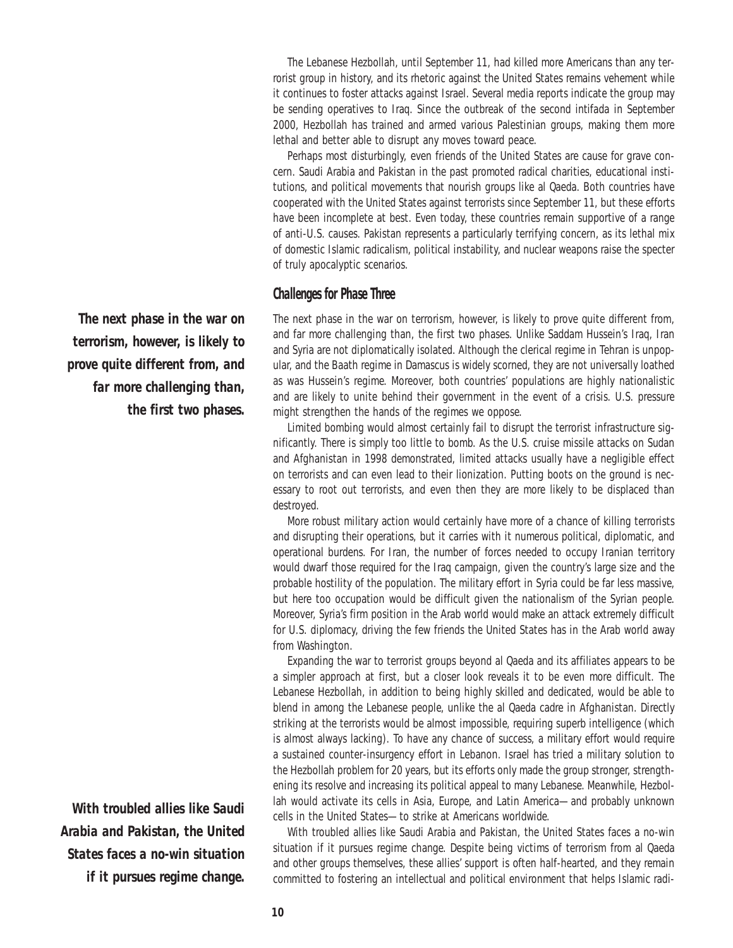The Lebanese Hezbollah, until September 11, had killed more Americans than any terrorist group in history, and its rhetoric against the United States remains vehement while it continues to foster attacks against Israel. Several media reports indicate the group may be sending operatives to Iraq. Since the outbreak of the second *intifada* in September 2000, Hezbollah has trained and armed various Palestinian groups, making them more lethal and better able to disrupt any moves toward peace.

Perhaps most disturbingly, even friends of the United States are cause for grave concern. Saudi Arabia and Pakistan in the past promoted radical charities, educational institutions, and political movements that nourish groups like al Qaeda. Both countries have cooperated with the United States against terrorists since September 11, but these efforts have been incomplete at best. Even today, these countries remain supportive of a range of anti-U.S. causes. Pakistan represents a particularly terrifying concern, as its lethal mix of domestic Islamic radicalism, political instability, and nuclear weapons raise the specter of truly apocalyptic scenarios.

#### *Challenges for Phase Three*

The next phase in the war on terrorism, however, is likely to prove quite different from, and far more challenging than, the first two phases. Unlike Saddam Hussein's Iraq, Iran and Syria are not diplomatically isolated. Although the clerical regime in Tehran is unpopular, and the Baath regime in Damascus is widely scorned, they are not universally loathed as was Hussein's regime. Moreover, both countries' populations are highly nationalistic and are likely to unite behind their government in the event of a crisis. U.S. pressure might strengthen the hands of the regimes we oppose.

Limited bombing would almost certainly fail to disrupt the terrorist infrastructure significantly. There is simply too little to bomb. As the U.S. cruise missile attacks on Sudan and Afghanistan in 1998 demonstrated, limited attacks usually have a negligible effect on terrorists and can even lead to their lionization. Putting boots on the ground is necessary to root out terrorists, and even then they are more likely to be displaced than destroyed.

More robust military action would certainly have more of a chance of killing terrorists and disrupting their operations, but it carries with it numerous political, diplomatic, and operational burdens. For Iran, the number of forces needed to occupy Iranian territory would dwarf those required for the Iraq campaign, given the country's large size and the probable hostility of the population. The military effort in Syria could be far less massive, but here too occupation would be difficult given the nationalism of the Syrian people. Moreover, Syria's firm position in the Arab world would make an attack extremely difficult for U.S. diplomacy, driving the few friends the United States has in the Arab world away from Washington.

Expanding the war to terrorist groups beyond al Qaeda and its affiliates appears to be a simpler approach at first, but a closer look reveals it to be even more difficult. The Lebanese Hezbollah, in addition to being highly skilled and dedicated, would be able to blend in among the Lebanese people, unlike the al Qaeda cadre in Afghanistan. Directly striking at the terrorists would be almost impossible, requiring superb intelligence (which is almost always lacking). To have any chance of success, a military effort would require a sustained counter-insurgency effort in Lebanon. Israel has tried a military solution to the Hezbollah problem for 20 years, but its efforts only made the group stronger, strengthening its resolve and increasing its political appeal to many Lebanese. Meanwhile, Hezbollah would activate its cells in Asia, Europe, and Latin America—and probably unknown cells in the United States—to strike at Americans worldwide.

With troubled allies like Saudi Arabia and Pakistan, the United States faces a no-win situation if it pursues regime change. Despite being victims of terrorism from al Qaeda and other groups themselves, these allies' support is often half-hearted, and they remain committed to fostering an intellectual and political environment that helps Islamic radi-

*The next phase in the war on terrorism, however, is likely to prove quite different from, and far more challenging than, the first two phases.* 

*With troubled allies like Saudi Arabia and Pakistan, the United States faces a no-win situation if it pursues regime change.*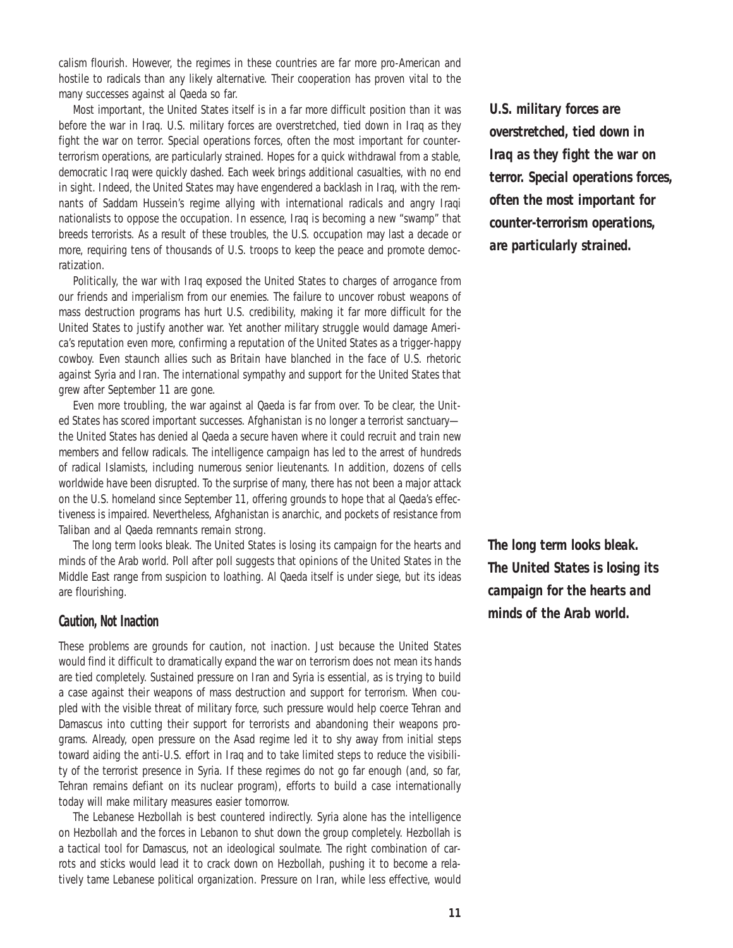calism flourish. However, the regimes in these countries are far more pro-American and hostile to radicals than any likely alternative. Their cooperation has proven vital to the many successes against al Qaeda so far.

Most important, the United States itself is in a far more difficult position than it was before the war in Iraq. U.S. military forces are overstretched, tied down in Iraq as they fight the war on terror. Special operations forces, often the most important for counterterrorism operations, are particularly strained. Hopes for a quick withdrawal from a stable, democratic Iraq were quickly dashed. Each week brings additional casualties, with no end in sight. Indeed, the United States may have engendered a backlash in Iraq, with the remnants of Saddam Hussein's regime allying with international radicals and angry Iraqi nationalists to oppose the occupation. In essence, Iraq is becoming a new "swamp" that breeds terrorists. As a result of these troubles, the U.S. occupation may last a decade or more, requiring tens of thousands of U.S. troops to keep the peace and promote democratization.

Politically, the war with Iraq exposed the United States to charges of arrogance from our friends and imperialism from our enemies. The failure to uncover robust weapons of mass destruction programs has hurt U.S. credibility, making it far more difficult for the United States to justify another war. Yet another military struggle would damage America's reputation even more, confirming a reputation of the United States as a trigger-happy cowboy. Even staunch allies such as Britain have blanched in the face of U.S. rhetoric against Syria and Iran. The international sympathy and support for the United States that grew after September 11 are gone.

Even more troubling, the war against al Qaeda is far from over. To be clear, the United States has scored important successes. Afghanistan is no longer a terrorist sanctuary the United States has denied al Qaeda a secure haven where it could recruit and train new members and fellow radicals. The intelligence campaign has led to the arrest of hundreds of radical Islamists, including numerous senior lieutenants. In addition, dozens of cells worldwide have been disrupted. To the surprise of many, there has not been a major attack on the U.S. homeland since September 11, offering grounds to hope that al Qaeda's effectiveness is impaired. Nevertheless, Afghanistan is anarchic, and pockets of resistance from Taliban and al Qaeda remnants remain strong.

The long term looks bleak. The United States is losing its campaign for the hearts and minds of the Arab world. Poll after poll suggests that opinions of the United States in the Middle East range from suspicion to loathing. Al Qaeda itself is under siege, but its ideas are flourishing.

#### *Caution, Not Inaction*

These problems are grounds for caution, not inaction. Just because the United States would find it difficult to dramatically expand the war on terrorism does not mean its hands are tied completely. Sustained pressure on Iran and Syria is essential, as is trying to build a case against their weapons of mass destruction and support for terrorism. When coupled with the visible threat of military force, such pressure would help coerce Tehran and Damascus into cutting their support for terrorists and abandoning their weapons programs. Already, open pressure on the Asad regime led it to shy away from initial steps toward aiding the anti-U.S. effort in Iraq and to take limited steps to reduce the visibility of the terrorist presence in Syria. If these regimes do not go far enough (and, so far, Tehran remains defiant on its nuclear program), efforts to build a case internationally today will make military measures easier tomorrow.

The Lebanese Hezbollah is best countered indirectly. Syria alone has the intelligence on Hezbollah and the forces in Lebanon to shut down the group completely. Hezbollah is a tactical tool for Damascus, not an ideological soulmate. The right combination of carrots and sticks would lead it to crack down on Hezbollah, pushing it to become a relatively tame Lebanese political organization. Pressure on Iran, while less effective, would *U.S. military forces are overstretched, tied down in Iraq as they fight the war on terror. Special operations forces, often the most important for counter-terrorism operations, are particularly strained.*

*The long term looks bleak. The United States is losing its campaign for the hearts and minds of the Arab world.*